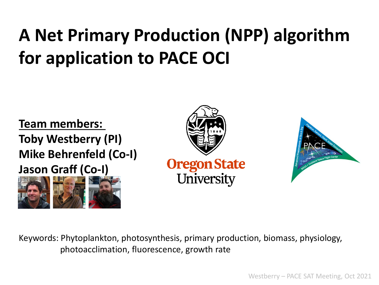# **A Net Primary Production (NPP) algorithm for application to PACE OCI**

**Team members: Toby Westberry (PI) Mike Behrenfeld (Co-I) Jason Graff (Co-I)**







Keywords: Phytoplankton, photosynthesis, primary production, biomass, physiology, photoacclimation, fluorescence, growth rate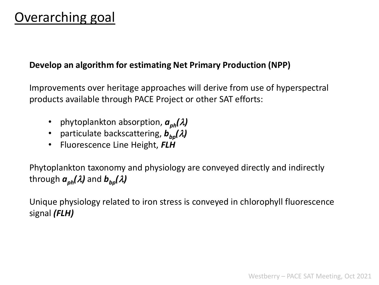#### Overarching goal

#### **Develop an algorithm for estimating Net Primary Production (NPP)**

Improvements over heritage approaches will derive from use of hyperspectral products available through PACE Project or other SAT efforts:

- phytoplankton absorption,  $a_{ph}(\lambda)$
- particulate backscattering,  $b_{bo}(\lambda)$
- Fluorescence Line Height, *FLH*

Phytoplankton taxonomy and physiology are conveyed directly and indirectly through  $a_{ph}(\lambda)$  and  $b_{bn}(\lambda)$ 

Unique physiology related to iron stress is conveyed in chlorophyll fluorescence signal *(FLH)*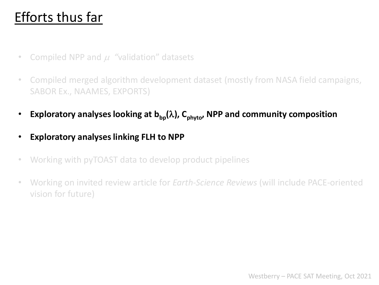### Efforts thus far

- Compiled NPP and  $\mu$  "validation" datasets
- Compiled merged algorithm development dataset (mostly from NASA field campaigns, SABOR Ex., NAAMES, EXPORTS)
- **Exploratory analyses looking at**  $b_{\text{bp}}(\lambda)$ **, C<sub>phyto</sub>, NPP and community composition**
- **Exploratory analyses linking FLH to NPP**
- Working with pyTOAST data to develop product pipelines
- Working on invited review article for *Earth-Science Reviews* (will include PACE-oriented vision for future)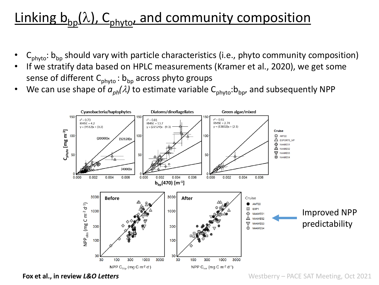## Linking  $b_{bp}(\lambda)$ , C<sub>phyto</sub>, and community composition

- $C_{\text{phuto}}$ : b<sub>bp</sub> should vary with particle characteristics (i.e., phyto community composition)
- If we stratify data based on HPLC measurements (Kramer et al., 2020), we get some sense of different  $C_{\text{phuto}}$ :  $b_{\text{bo}}$  across phyto groups
- We can use shape of  $a_{ph}(\lambda)$  to estimate variable  $C_{phyto}$ : $b_{bp}$ , and subsequently NPP



**Fox et al., in review** *L&O Letters*